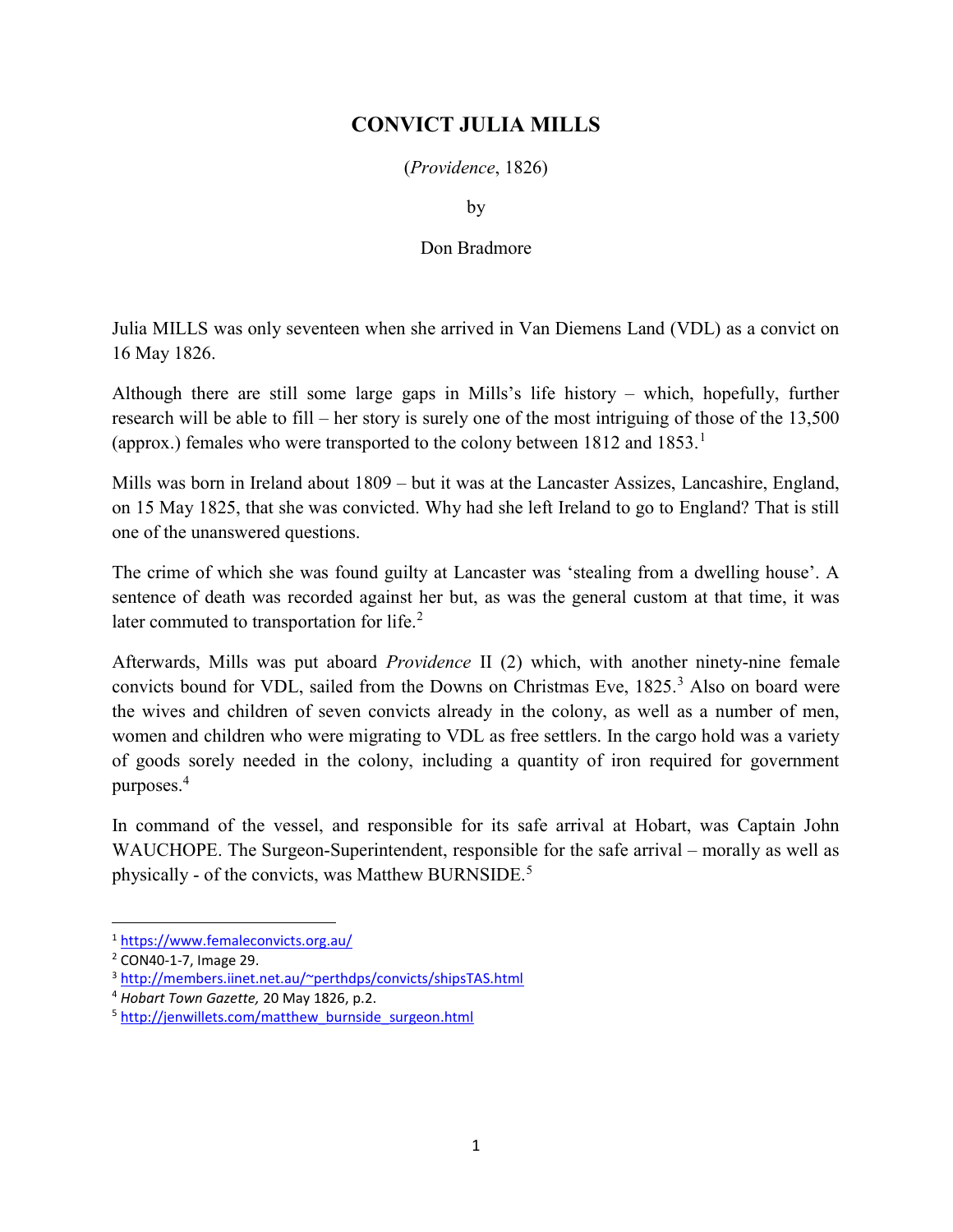## CONVICT JULIA MILLS

(Providence, 1826)

by

## Don Bradmore

Julia MILLS was only seventeen when she arrived in Van Diemens Land (VDL) as a convict on 16 May 1826.

Although there are still some large gaps in Mills's life history – which, hopefully, further research will be able to fill – her story is surely one of the most intriguing of those of the 13,500 (approx.) females who were transported to the colony between  $1812$  and  $1853$ .<sup>1</sup>

Mills was born in Ireland about 1809 – but it was at the Lancaster Assizes, Lancashire, England, on 15 May 1825, that she was convicted. Why had she left Ireland to go to England? That is still one of the unanswered questions.

The crime of which she was found guilty at Lancaster was 'stealing from a dwelling house'. A sentence of death was recorded against her but, as was the general custom at that time, it was later commuted to transportation for life. $2$ 

Afterwards, Mills was put aboard Providence II (2) which, with another ninety-nine female convicts bound for VDL, sailed from the Downs on Christmas Eve, 1825.<sup>3</sup> Also on board were the wives and children of seven convicts already in the colony, as well as a number of men, women and children who were migrating to VDL as free settlers. In the cargo hold was a variety of goods sorely needed in the colony, including a quantity of iron required for government purposes.<sup>4</sup>

In command of the vessel, and responsible for its safe arrival at Hobart, was Captain John WAUCHOPE. The Surgeon-Superintendent, responsible for the safe arrival – morally as well as physically - of the convicts, was Matthew BURNSIDE.<sup>5</sup>

<sup>1</sup> https://www.femaleconvicts.org.au/

<sup>2</sup> CON40-1-7, Image 29.

<sup>3</sup> http://members.iinet.net.au/~perthdps/convicts/shipsTAS.html

<sup>4</sup> Hobart Town Gazette, 20 May 1826, p.2.

<sup>&</sup>lt;sup>5</sup> http://jenwillets.com/matthew\_burnside\_surgeon.html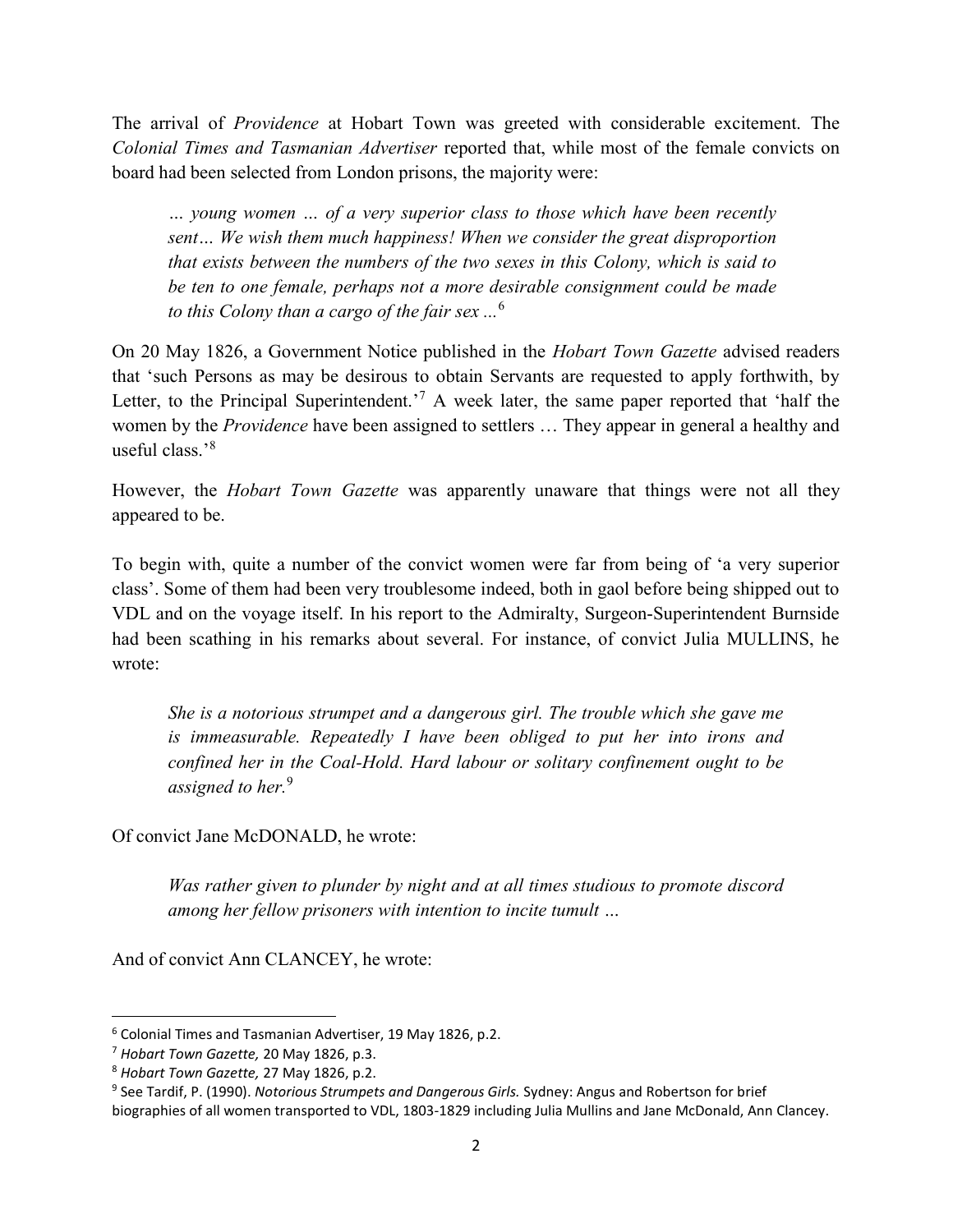The arrival of Providence at Hobart Town was greeted with considerable excitement. The Colonial Times and Tasmanian Advertiser reported that, while most of the female convicts on board had been selected from London prisons, the majority were:

… young women … of a very superior class to those which have been recently sent… We wish them much happiness! When we consider the great disproportion that exists between the numbers of the two sexes in this Colony, which is said to be ten to one female, perhaps not a more desirable consignment could be made to this Colony than a cargo of the fair sex  $\ldots$ <sup>6</sup>

On 20 May 1826, a Government Notice published in the Hobart Town Gazette advised readers that 'such Persons as may be desirous to obtain Servants are requested to apply forthwith, by Letter, to the Principal Superintendent.<sup>7</sup> A week later, the same paper reported that 'half the women by the *Providence* have been assigned to settlers ... They appear in general a healthy and useful class.'<sup>8</sup>

However, the *Hobart Town Gazette* was apparently unaware that things were not all they appeared to be.

To begin with, quite a number of the convict women were far from being of 'a very superior class'. Some of them had been very troublesome indeed, both in gaol before being shipped out to VDL and on the voyage itself. In his report to the Admiralty, Surgeon-Superintendent Burnside had been scathing in his remarks about several. For instance, of convict Julia MULLINS, he wrote:

She is a notorious strumpet and a dangerous girl. The trouble which she gave me is immeasurable. Repeatedly I have been obliged to put her into irons and confined her in the Coal-Hold. Hard labour or solitary confinement ought to be assigned to her.<sup>9</sup>

Of convict Jane McDONALD, he wrote:

Was rather given to plunder by night and at all times studious to promote discord among her fellow prisoners with intention to incite tumult …

And of convict Ann CLANCEY, he wrote:

 $\overline{a}$ 

<sup>6</sup> Colonial Times and Tasmanian Advertiser, 19 May 1826, p.2.

<sup>&</sup>lt;sup>7</sup> Hobart Town Gazette, 20 May 1826, p.3.

<sup>8</sup> Hobart Town Gazette, 27 May 1826, p.2.

<sup>&</sup>lt;sup>9</sup> See Tardif, P. (1990). Notorious Strumpets and Dangerous Girls. Sydney: Angus and Robertson for brief biographies of all women transported to VDL, 1803-1829 including Julia Mullins and Jane McDonald, Ann Clancey.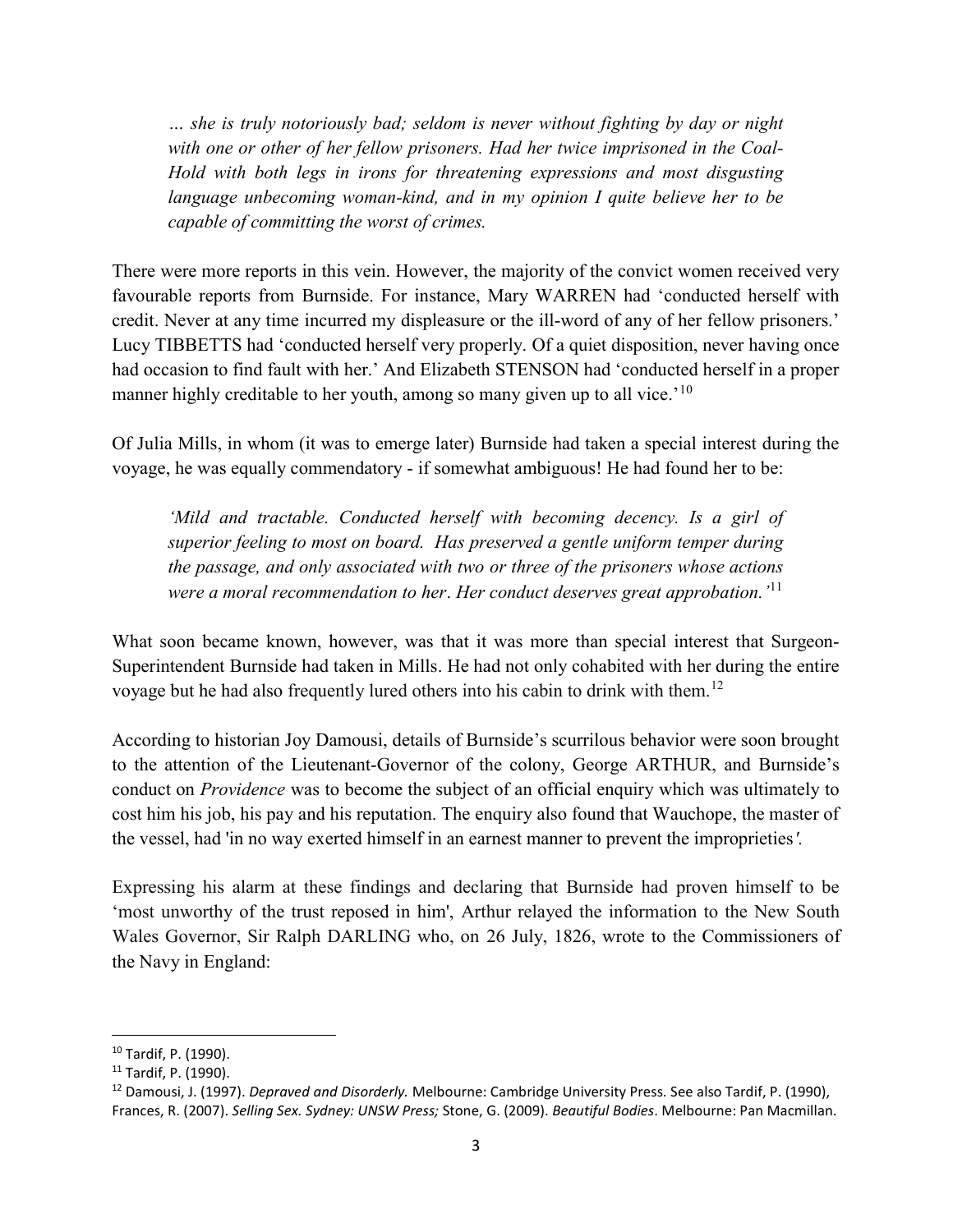… she is truly notoriously bad; seldom is never without fighting by day or night with one or other of her fellow prisoners. Had her twice imprisoned in the Coal-Hold with both legs in irons for threatening expressions and most disgusting language unbecoming woman-kind, and in my opinion I quite believe her to be capable of committing the worst of crimes.

There were more reports in this vein. However, the majority of the convict women received very favourable reports from Burnside. For instance, Mary WARREN had 'conducted herself with credit. Never at any time incurred my displeasure or the ill-word of any of her fellow prisoners.' Lucy TIBBETTS had 'conducted herself very properly. Of a quiet disposition, never having once had occasion to find fault with her.' And Elizabeth STENSON had 'conducted herself in a proper manner highly creditable to her youth, among so many given up to all vice.<sup>'10</sup>

Of Julia Mills, in whom (it was to emerge later) Burnside had taken a special interest during the voyage, he was equally commendatory - if somewhat ambiguous! He had found her to be:

'Mild and tractable. Conducted herself with becoming decency. Is a girl of superior feeling to most on board. Has preserved a gentle uniform temper during the passage, and only associated with two or three of the prisoners whose actions were a moral recommendation to her. Her conduct deserves great approbation.  $i<sup>11</sup>$ 

What soon became known, however, was that it was more than special interest that Surgeon-Superintendent Burnside had taken in Mills. He had not only cohabited with her during the entire voyage but he had also frequently lured others into his cabin to drink with them.<sup>12</sup>

According to historian Joy Damousi, details of Burnside's scurrilous behavior were soon brought to the attention of the Lieutenant-Governor of the colony, George ARTHUR, and Burnside's conduct on *Providence* was to become the subject of an official enquiry which was ultimately to cost him his job, his pay and his reputation. The enquiry also found that Wauchope, the master of the vessel, had 'in no way exerted himself in an earnest manner to prevent the improprieties'.

Expressing his alarm at these findings and declaring that Burnside had proven himself to be 'most unworthy of the trust reposed in him', Arthur relayed the information to the New South Wales Governor, Sir Ralph DARLING who, on 26 July, 1826, wrote to the Commissioners of the Navy in England:

 <sup>10</sup> Tardif, P. (1990).

<sup>11</sup> Tardif, P. (1990).

<sup>&</sup>lt;sup>12</sup> Damousi, J. (1997). Depraved and Disorderly. Melbourne: Cambridge University Press. See also Tardif, P. (1990), Frances, R. (2007). Selling Sex. Sydney: UNSW Press; Stone, G. (2009). Beautiful Bodies. Melbourne: Pan Macmillan.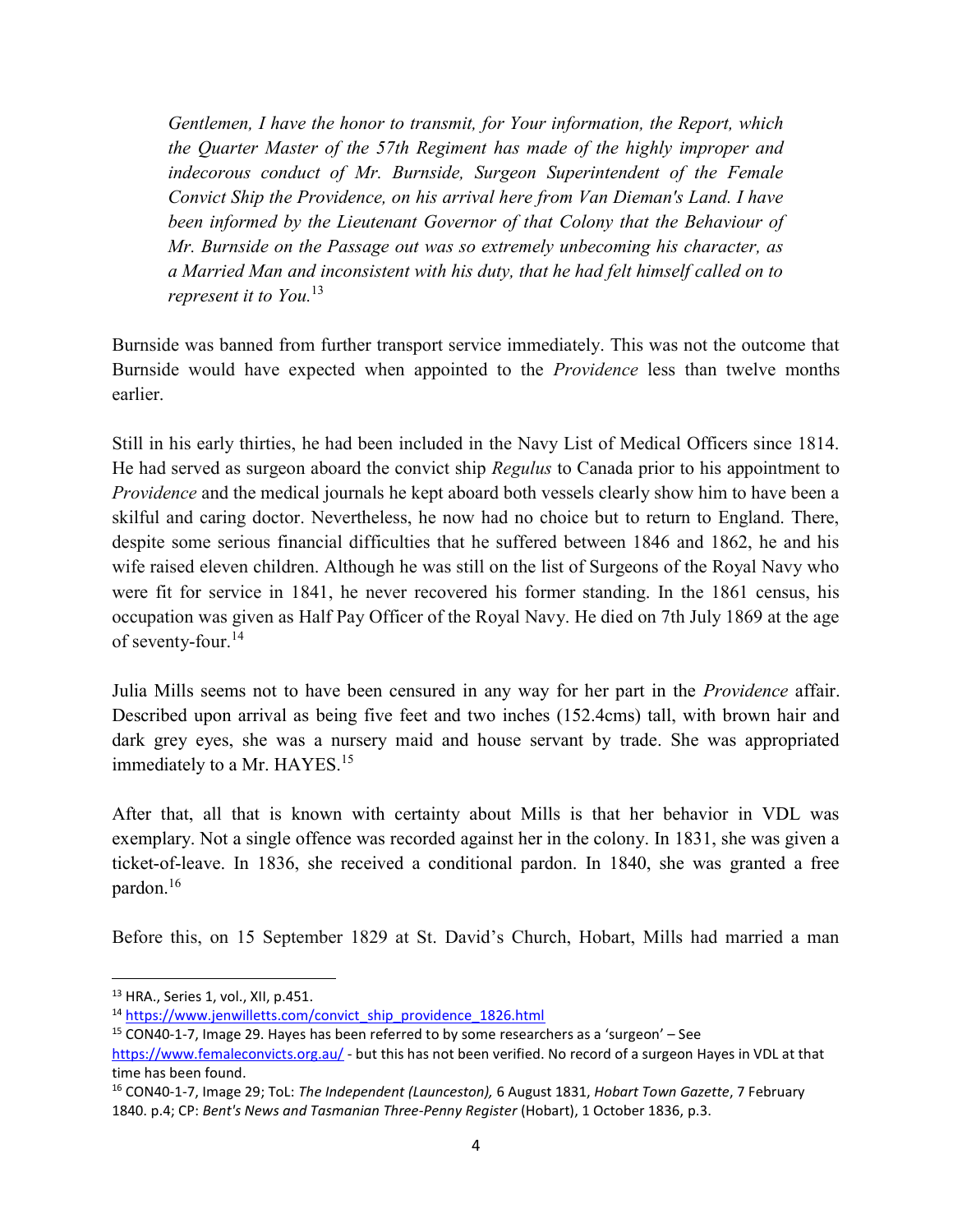Gentlemen, I have the honor to transmit, for Your information, the Report, which the Quarter Master of the 57th Regiment has made of the highly improper and indecorous conduct of Mr. Burnside, Surgeon Superintendent of the Female Convict Ship the Providence, on his arrival here from Van Dieman's Land. I have been informed by the Lieutenant Governor of that Colony that the Behaviour of Mr. Burnside on the Passage out was so extremely unbecoming his character, as a Married Man and inconsistent with his duty, that he had felt himself called on to represent it to You.<sup>13</sup>

Burnside was banned from further transport service immediately. This was not the outcome that Burnside would have expected when appointed to the Providence less than twelve months earlier.

Still in his early thirties, he had been included in the Navy List of Medical Officers since 1814. He had served as surgeon aboard the convict ship Regulus to Canada prior to his appointment to Providence and the medical journals he kept aboard both vessels clearly show him to have been a skilful and caring doctor. Nevertheless, he now had no choice but to return to England. There, despite some serious financial difficulties that he suffered between 1846 and 1862, he and his wife raised eleven children. Although he was still on the list of Surgeons of the Royal Navy who were fit for service in 1841, he never recovered his former standing. In the 1861 census, his occupation was given as Half Pay Officer of the Royal Navy. He died on 7th July 1869 at the age of seventy-four.<sup>14</sup>

Julia Mills seems not to have been censured in any way for her part in the *Providence* affair. Described upon arrival as being five feet and two inches (152.4cms) tall, with brown hair and dark grey eyes, she was a nursery maid and house servant by trade. She was appropriated immediately to a Mr. HAYES.<sup>15</sup>

After that, all that is known with certainty about Mills is that her behavior in VDL was exemplary. Not a single offence was recorded against her in the colony. In 1831, she was given a ticket-of-leave. In 1836, she received a conditional pardon. In 1840, she was granted a free pardon.<sup>16</sup>

Before this, on 15 September 1829 at St. David's Church, Hobart, Mills had married a man

 $\overline{a}$ 

<sup>16</sup> CON40-1-7, Image 29; ToL: The Independent (Launceston), 6 August 1831, Hobart Town Gazette, 7 February 1840. p.4; CP: Bent's News and Tasmanian Three-Penny Register (Hobart), 1 October 1836, p.3.

<sup>13</sup> HRA., Series 1, vol., XII, p.451.

<sup>&</sup>lt;sup>14</sup> https://www.jenwilletts.com/convict\_ship\_providence\_1826.html

<sup>15</sup> CON40-1-7, Image 29. Hayes has been referred to by some researchers as a 'surgeon' – See

https://www.femaleconvicts.org.au/ - but this has not been verified. No record of a surgeon Hayes in VDL at that time has been found.